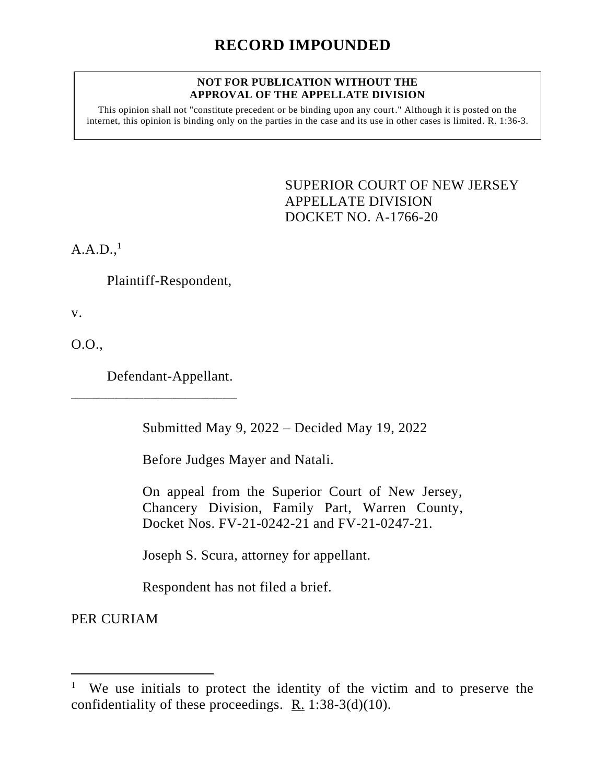## **NOT FOR PUBLICATION WITHOUT THE APPROVAL OF THE APPELLATE DIVISION**

This opinion shall not "constitute precedent or be binding upon any court." Although it is posted on the internet, this opinion is binding only on the parties in the case and its use in other cases is limited. R. 1:36-3.

> <span id="page-0-0"></span>SUPERIOR COURT OF NEW JERSEY APPELLATE DIVISION DOCKET NO. A-1766-20

 $A.A.D.,<sup>1</sup>$ 

Plaintiff-Respondent,

v.

O.O.,

Defendant-Appellant.

\_\_\_\_\_\_\_\_\_\_\_\_\_\_\_\_\_\_\_\_\_\_\_

Submitted May 9, 2022 – Decided May 19, 2022

Before Judges Mayer and Natali.

On appeal from the Superior Court of New Jersey, Chancery Division, Family Part, Warren County, Docket Nos. FV-21-0242-21 and FV-21-0247-21.

Joseph S. Scura, attorney for appellant.

Respondent has not filed a brief.

PER CURIAM

<sup>1</sup> We use initials to protect the identity of the victim and to preserve the confidentiality of these proceedings. R. 1:38-3(d)(10).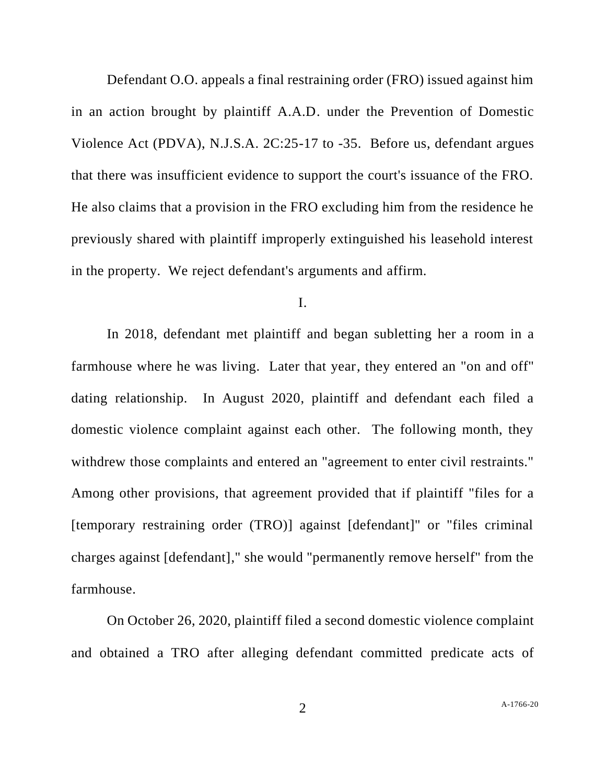Defendant O.O. appeals a final restraining order (FRO) issued against him in an action brought by plaintiff A.A.D. under the Prevention of Domestic Violence Act (PDVA), N.J.S.A. 2C:25-17 to -35. Before us, defendant argues that there was insufficient evidence to support the court's issuance of the FRO. He also claims that a provision in the FRO excluding him from the residence he previously shared with plaintiff improperly extinguished his leasehold interest in the property. We reject defendant's arguments and affirm.

I.

In 2018, defendant met plaintiff and began subletting her a room in a farmhouse where he was living. Later that year, they entered an "on and off" dating relationship. In August 2020, plaintiff and defendant each filed a domestic violence complaint against each other. The following month, they withdrew those complaints and entered an "agreement to enter civil restraints." Among other provisions, that agreement provided that if plaintiff "files for a [temporary restraining order (TRO)] against [defendant]" or "files criminal charges against [defendant]," she would "permanently remove herself" from the farmhouse.

On October 26, 2020, plaintiff filed a second domestic violence complaint and obtained a TRO after alleging defendant committed predicate acts of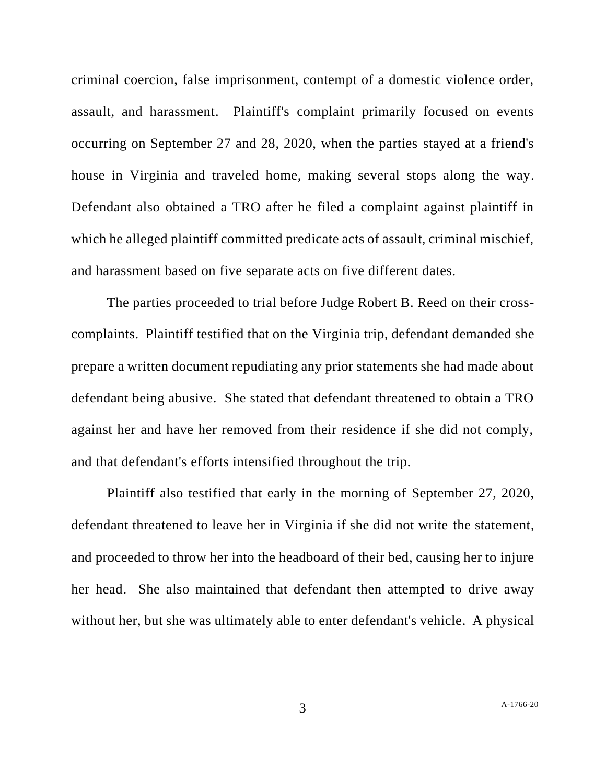criminal coercion, false imprisonment, contempt of a domestic violence order, assault, and harassment. Plaintiff's complaint primarily focused on events occurring on September 27 and 28, 2020, when the parties stayed at a friend's house in Virginia and traveled home, making several stops along the way. Defendant also obtained a TRO after he filed a complaint against plaintiff in which he alleged plaintiff committed predicate acts of assault, criminal mischief, and harassment based on five separate acts on five different dates.

The parties proceeded to trial before Judge Robert B. Reed on their crosscomplaints. Plaintiff testified that on the Virginia trip, defendant demanded she prepare a written document repudiating any prior statements she had made about defendant being abusive. She stated that defendant threatened to obtain a TRO against her and have her removed from their residence if she did not comply, and that defendant's efforts intensified throughout the trip.

Plaintiff also testified that early in the morning of September 27, 2020, defendant threatened to leave her in Virginia if she did not write the statement, and proceeded to throw her into the headboard of their bed, causing her to injure her head. She also maintained that defendant then attempted to drive away without her, but she was ultimately able to enter defendant's vehicle. A physical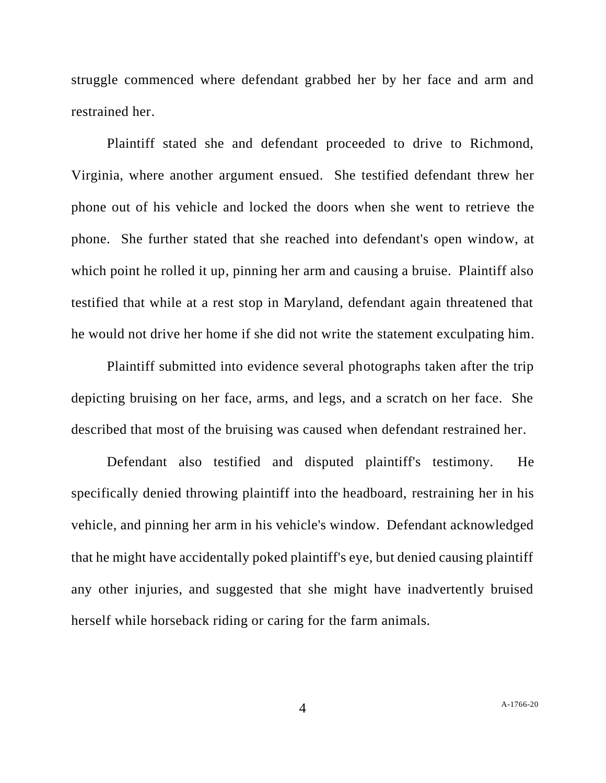struggle commenced where defendant grabbed her by her face and arm and restrained her.

Plaintiff stated she and defendant proceeded to drive to Richmond, Virginia, where another argument ensued. She testified defendant threw her phone out of his vehicle and locked the doors when she went to retrieve the phone. She further stated that she reached into defendant's open window, at which point he rolled it up, pinning her arm and causing a bruise. Plaintiff also testified that while at a rest stop in Maryland, defendant again threatened that he would not drive her home if she did not write the statement exculpating him.

Plaintiff submitted into evidence several photographs taken after the trip depicting bruising on her face, arms, and legs, and a scratch on her face. She described that most of the bruising was caused when defendant restrained her.

Defendant also testified and disputed plaintiff's testimony. He specifically denied throwing plaintiff into the headboard, restraining her in his vehicle, and pinning her arm in his vehicle's window. Defendant acknowledged that he might have accidentally poked plaintiff's eye, but denied causing plaintiff any other injuries, and suggested that she might have inadvertently bruised herself while horseback riding or caring for the farm animals.

4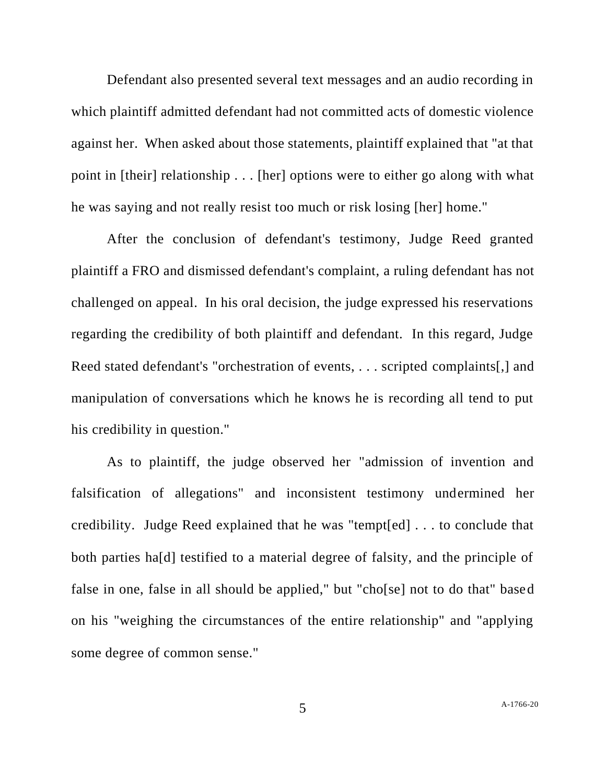Defendant also presented several text messages and an audio recording in which plaintiff admitted defendant had not committed acts of domestic violence against her. When asked about those statements, plaintiff explained that "at that point in [their] relationship . . . [her] options were to either go along with what he was saying and not really resist too much or risk losing [her] home."

After the conclusion of defendant's testimony, Judge Reed granted plaintiff a FRO and dismissed defendant's complaint, a ruling defendant has not challenged on appeal. In his oral decision, the judge expressed his reservations regarding the credibility of both plaintiff and defendant. In this regard, Judge Reed stated defendant's "orchestration of events, . . . scripted complaints[,] and manipulation of conversations which he knows he is recording all tend to put his credibility in question."

As to plaintiff, the judge observed her "admission of invention and falsification of allegations" and inconsistent testimony undermined her credibility. Judge Reed explained that he was "tempt[ed] . . . to conclude that both parties ha[d] testified to a material degree of falsity, and the principle of false in one, false in all should be applied," but "cho[se] not to do that" based on his "weighing the circumstances of the entire relationship" and "applying some degree of common sense."

5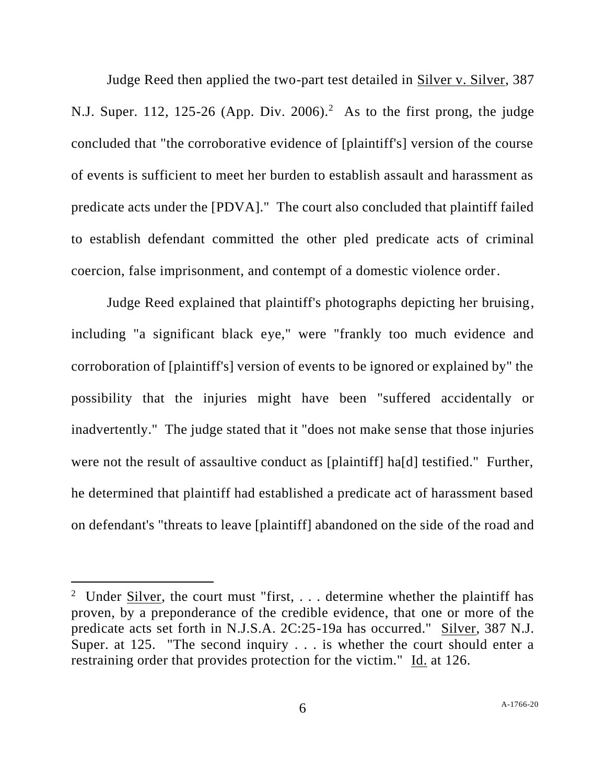Judge Reed then applied the two-part test detailed in Silver v. Silver, 387 N.J. Super. 112, 125-26 (App. Div. 2006).<sup>2</sup> As to the first prong, the judge concluded that "the corroborative evidence of [plaintiff's] version of the course of events is sufficient to meet her burden to establish assault and harassment as predicate acts under the [PDVA]." The court also concluded that plaintiff failed to establish defendant committed the other pled predicate acts of criminal coercion, false imprisonment, and contempt of a domestic violence order.

Judge Reed explained that plaintiff's photographs depicting her bruising, including "a significant black eye," were "frankly too much evidence and corroboration of [plaintiff's] version of events to be ignored or explained by" the possibility that the injuries might have been "suffered accidentally or inadvertently." The judge stated that it "does not make sense that those injuries were not the result of assaultive conduct as [plaintiff] ha[d] testified." Further, he determined that plaintiff had established a predicate act of harassment based on defendant's "threats to leave [plaintiff] abandoned on the side of the road and

<sup>&</sup>lt;sup>2</sup> Under  $\frac{\text{Silver}}{\text{Silver}}$ , the court must "first, ... determine whether the plaintiff has proven, by a preponderance of the credible evidence, that one or more of the predicate acts set forth in N.J.S.A. 2C:25-19a has occurred." Silver, 387 N.J. Super. at 125. "The second inquiry . . . is whether the court should enter a restraining order that provides protection for the victim." Id. at 126.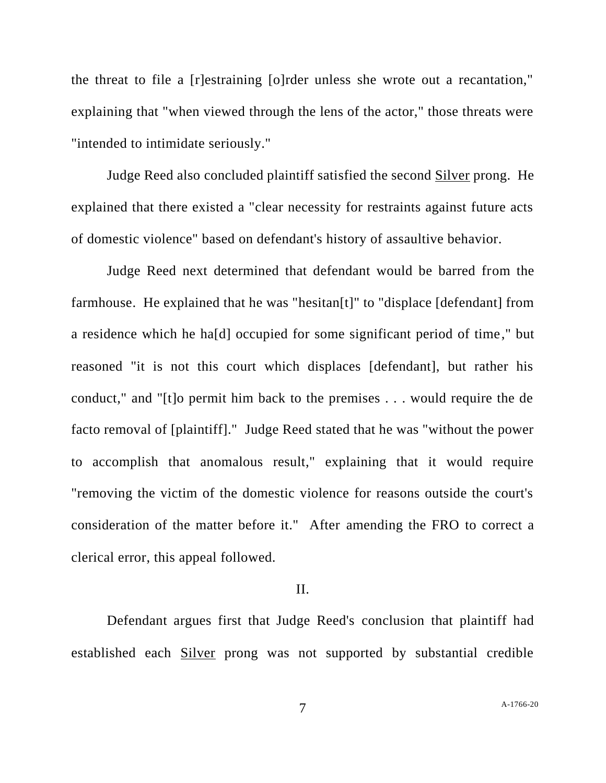the threat to file a [r]estraining [o]rder unless she wrote out a recantation," explaining that "when viewed through the lens of the actor," those threats were "intended to intimidate seriously."

Judge Reed also concluded plaintiff satisfied the second Silver prong. He explained that there existed a "clear necessity for restraints against future acts of domestic violence" based on defendant's history of assaultive behavior.

Judge Reed next determined that defendant would be barred from the farmhouse. He explained that he was "hesitan[t]" to "displace [defendant] from a residence which he ha[d] occupied for some significant period of time," but reasoned "it is not this court which displaces [defendant], but rather his conduct," and "[t]o permit him back to the premises . . . would require the de facto removal of [plaintiff]." Judge Reed stated that he was "without the power to accomplish that anomalous result," explaining that it would require "removing the victim of the domestic violence for reasons outside the court's consideration of the matter before it." After amending the FRO to correct a clerical error, this appeal followed.

## II.

Defendant argues first that Judge Reed's conclusion that plaintiff had established each Silver prong was not supported by substantial credible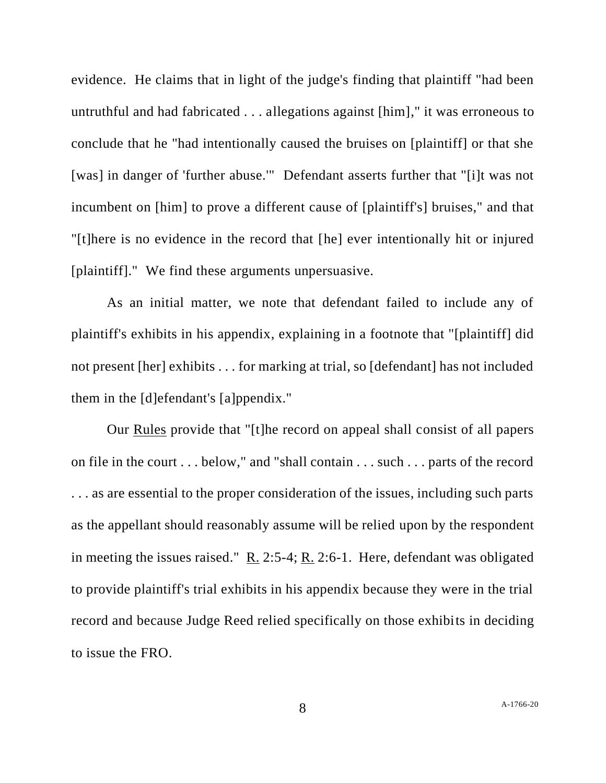evidence. He claims that in light of the judge's finding that plaintiff "had been untruthful and had fabricated . . . allegations against [him]," it was erroneous to conclude that he "had intentionally caused the bruises on [plaintiff] or that she [was] in danger of 'further abuse.'" Defendant asserts further that "[i]t was not incumbent on [him] to prove a different cause of [plaintiff's] bruises," and that "[t]here is no evidence in the record that [he] ever intentionally hit or injured [plaintiff]." We find these arguments unpersuasive.

As an initial matter, we note that defendant failed to include any of plaintiff's exhibits in his appendix, explaining in a footnote that "[plaintiff] did not present [her] exhibits . . . for marking at trial, so [defendant] has not included them in the [d]efendant's [a]ppendix."

Our Rules provide that "[t]he record on appeal shall consist of all papers on file in the court . . . below," and "shall contain . . . such . . . parts of the record . . . as are essential to the proper consideration of the issues, including such parts as the appellant should reasonably assume will be relied upon by the respondent in meeting the issues raised."  $R_2$ . 2:5-4;  $R_1$ . 2:6-1. Here, defendant was obligated to provide plaintiff's trial exhibits in his appendix because they were in the trial record and because Judge Reed relied specifically on those exhibits in deciding to issue the FRO.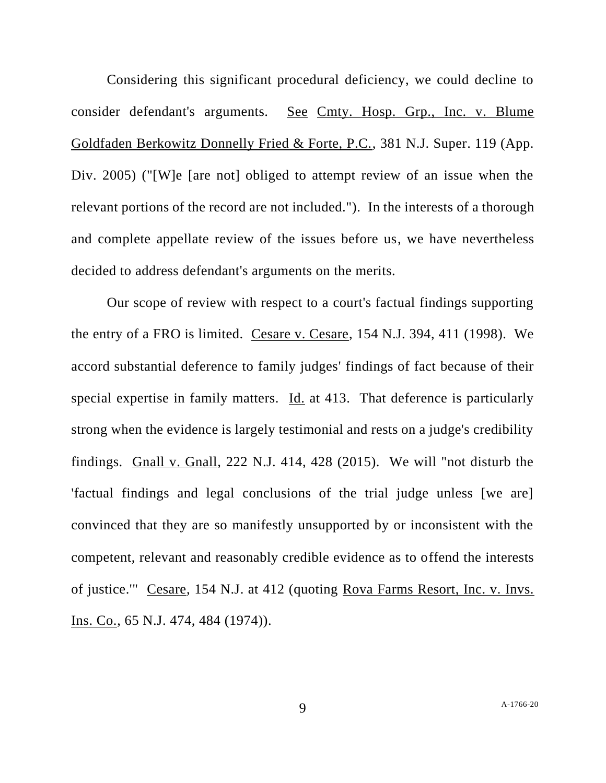Considering this significant procedural deficiency, we could decline to consider defendant's arguments. See Cmty. Hosp. Grp., Inc. v. Blume Goldfaden Berkowitz Donnelly Fried & Forte, P.C., 381 N.J. Super. 119 (App. Div. 2005) ("[W]e [are not] obliged to attempt review of an issue when the relevant portions of the record are not included."). In the interests of a thorough and complete appellate review of the issues before us, we have nevertheless decided to address defendant's arguments on the merits.

Our scope of review with respect to a court's factual findings supporting the entry of a FRO is limited. Cesare v. Cesare, 154 N.J. 394, 411 (1998). We accord substantial deference to family judges' findings of fact because of their special expertise in family matters. Id. at 413. That deference is particularly strong when the evidence is largely testimonial and rests on a judge's credibility findings. Gnall v. Gnall, 222 N.J. 414, 428 (2015). We will "not disturb the 'factual findings and legal conclusions of the trial judge unless [we are] convinced that they are so manifestly unsupported by or inconsistent with the competent, relevant and reasonably credible evidence as to offend the interests of justice.'" Cesare, 154 N.J. at 412 (quoting Rova Farms Resort, Inc. v. Invs. Ins. Co., 65 N.J. 474, 484 (1974)).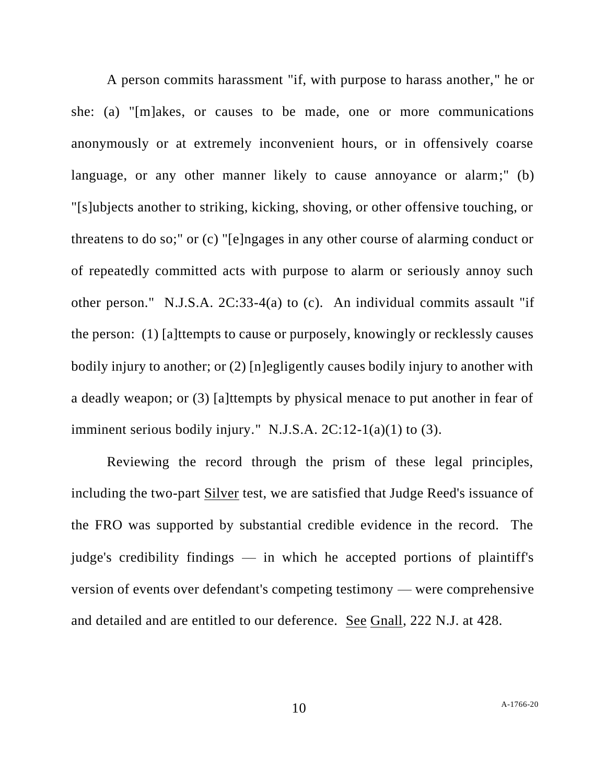A person commits harassment "if, with purpose to harass another," he or she: (a) "[m]akes, or causes to be made, one or more communications anonymously or at extremely inconvenient hours, or in offensively coarse language, or any other manner likely to cause annoyance or alarm;" (b) "[s]ubjects another to striking, kicking, shoving, or other offensive touching, or threatens to do so;" or (c) "[e]ngages in any other course of alarming conduct or of repeatedly committed acts with purpose to alarm or seriously annoy such other person." N.J.S.A. 2C:33-4(a) to (c). An individual commits assault "if the person: (1) [a]ttempts to cause or purposely, knowingly or recklessly causes bodily injury to another; or (2) [n]egligently causes bodily injury to another with a deadly weapon; or (3) [a]ttempts by physical menace to put another in fear of imminent serious bodily injury." N.J.S.A. 2C:12-1(a)(1) to (3).

Reviewing the record through the prism of these legal principles, including the two-part Silver test, we are satisfied that Judge Reed's issuance of the FRO was supported by substantial credible evidence in the record. The judge's credibility findings — in which he accepted portions of plaintiff's version of events over defendant's competing testimony — were comprehensive and detailed and are entitled to our deference. See Gnall, 222 N.J. at 428.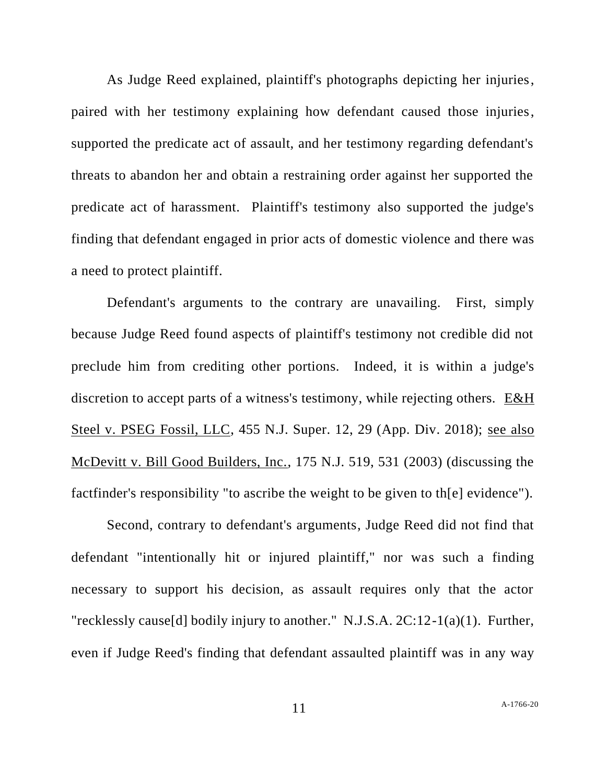As Judge Reed explained, plaintiff's photographs depicting her injuries, paired with her testimony explaining how defendant caused those injuries, supported the predicate act of assault, and her testimony regarding defendant's threats to abandon her and obtain a restraining order against her supported the predicate act of harassment. Plaintiff's testimony also supported the judge's finding that defendant engaged in prior acts of domestic violence and there was a need to protect plaintiff.

Defendant's arguments to the contrary are unavailing. First, simply because Judge Reed found aspects of plaintiff's testimony not credible did not preclude him from crediting other portions. Indeed, it is within a judge's discretion to accept parts of a witness's testimony, while rejecting others. E&H Steel v. PSEG Fossil, LLC, 455 N.J. Super. 12, 29 (App. Div. 2018); see also McDevitt v. Bill Good Builders, Inc., 175 N.J. 519, 531 (2003) (discussing the factfinder's responsibility "to ascribe the weight to be given to th[e] evidence").

Second, contrary to defendant's arguments, Judge Reed did not find that defendant "intentionally hit or injured plaintiff," nor was such a finding necessary to support his decision, as assault requires only that the actor "recklessly cause[d] bodily injury to another." N.J.S.A. 2C:12-1(a)(1). Further, even if Judge Reed's finding that defendant assaulted plaintiff was in any way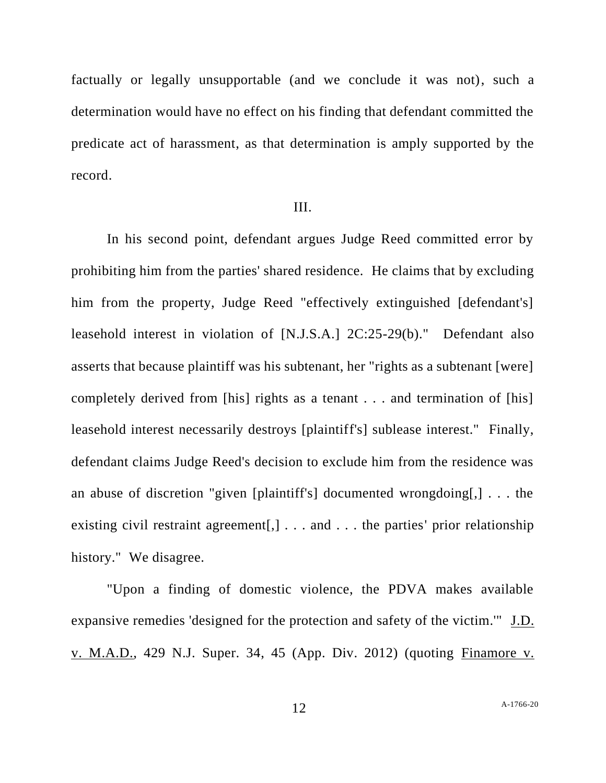factually or legally unsupportable (and we conclude it was not), such a determination would have no effect on his finding that defendant committed the predicate act of harassment, as that determination is amply supported by the record.

## III.

In his second point, defendant argues Judge Reed committed error by prohibiting him from the parties' shared residence. He claims that by excluding him from the property, Judge Reed "effectively extinguished [defendant's] leasehold interest in violation of [N.J.S.A.] 2C:25-29(b)." Defendant also asserts that because plaintiff was his subtenant, her "rights as a subtenant [were] completely derived from [his] rights as a tenant . . . and termination of [his] leasehold interest necessarily destroys [plaintiff's] sublease interest." Finally, defendant claims Judge Reed's decision to exclude him from the residence was an abuse of discretion "given [plaintiff's] documented wrongdoing[,] . . . the existing civil restraint agreement[,] . . . and . . . the parties' prior relationship history." We disagree.

"Upon a finding of domestic violence, the PDVA makes available expansive remedies 'designed for the protection and safety of the victim.'" J.D. v. M.A.D., 429 N.J. Super. 34, 45 (App. Div. 2012) (quoting Finamore v.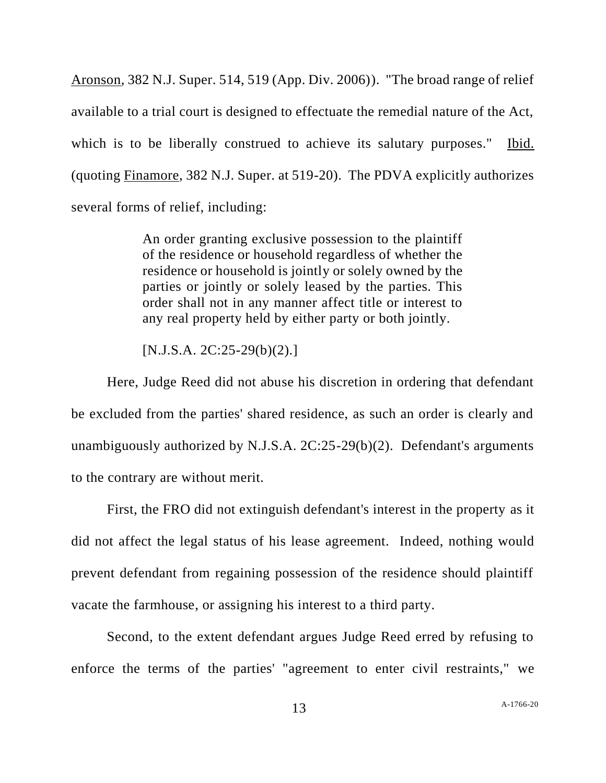Aronson, 382 N.J. Super. 514, 519 (App. Div. 2006)). "The broad range of relief available to a trial court is designed to effectuate the remedial nature of the Act, which is to be liberally construed to achieve its salutary purposes." Ibid. (quoting Finamore, 382 N.J. Super. at 519-20). The PDVA explicitly authorizes several forms of relief, including:

> An order granting exclusive possession to the plaintiff of the residence or household regardless of whether the residence or household is jointly or solely owned by the parties or jointly or solely leased by the parties. This order shall not in any manner affect title or interest to any real property held by either party or both jointly.

[N.J.S.A. 2C:25-29(b)(2).]

Here, Judge Reed did not abuse his discretion in ordering that defendant be excluded from the parties' shared residence, as such an order is clearly and unambiguously authorized by N.J.S.A. 2C:25-29(b)(2). Defendant's arguments to the contrary are without merit.

First, the FRO did not extinguish defendant's interest in the property as it did not affect the legal status of his lease agreement. Indeed, nothing would prevent defendant from regaining possession of the residence should plaintiff vacate the farmhouse, or assigning his interest to a third party.

Second, to the extent defendant argues Judge Reed erred by refusing to enforce the terms of the parties' "agreement to enter civil restraints," we